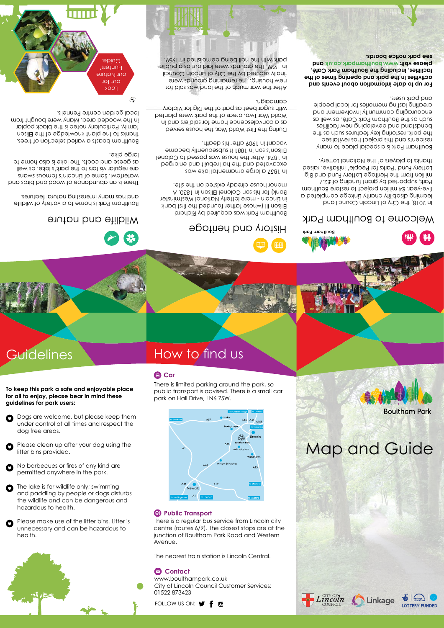## **Contact**

Dogs are welcome, but please keep them under control at all times and respect the

dog free areas.

O

Please clean up after your dog using the

litter bins provided.

# Guidelines How to find us

**The lake is for wildlife only; swimming** and paddling by people or dogs disturbs the wildlife and can be dangerous and hazardous to health.

- No barbecues or fires of any kind are O permitted anywhere in the park.
- 

Please make use of the litter bins. Litter is unnecessary and can be hazardous to health.





### *<b>Public Transport*

**To keep this park a safe and enjoyable place for all to enjoy, please bear in mind these** 

**guidelines for park users:**

There is a regular bus service from Lincoln city centre (routes 6/9). The closest stops are at the junction of Boultham Park Road and Western Avenue.

The nearest train station is Lincoln Central.

www.boulthampark.co.uk City of Lincoln Council Customer Services: 01522 873423

FOLLOW US ON:  $\blacktriangleright$  f a



There is limited parking around the park, so public transport is advised. There is a small car park on Hall Drive, LN6 7SW.

## **Car**

Map and Guide

**Boultham Park** 



Boultham Park is home to a variety of wildlife and has many interesting natural features.

There is an abundance of woodland birds and waterfowl. Some of Lincoln's famous swans are regular visitors to the park's lake, as well as geese and coots. The lake is also home to large pike.

Boultham boasts a varied selection of trees, thanks to the plant knowledge of the Ellison family. Particularly noted is the black poplar in the wooded area. Many were bought from local garden centre Pennells.

> Boultham Park was acquired by Richard Ellison III (whose father founded the first bank in Lincoln - more latterly National Westminster Bank) for his son Colonel Ellison in 1830. A manor house already existed on the site.

In 1857 a large ornamental lake was excavated and the hall rebuilt and enlarged in 1874. After the house was passed to Colonel Ellison's son in 1881 it subsequently became vacant in 1909 after his death.

During the First World War, the house served as a convalescence home for soldiers and in World War Two, areas of the park were planted with sugar beet as part of the Dig for Victory campaign.

After the war much of the land was sold for new housing. The remaining grounds were finally secured by the City of Lincoln Council in 1929. The grounds were laid out as a public park with the hall being demolished in 1959.



In 2018, the City of Lincoln Council and learning disability charity Linkage completed a five-year, £4 million project to restore Boultham Park, supported by grant funding of £2.7 million from the Heritage Lottery Fund and Big Lottery Fund 'Parks for People' initiative, raised thanks to players of The National Lottery.

Boultham Park is a special place to many residents and this project has revitalised the park, restoring key features such as the bandstand and developing new facilities such as the Boultham Park Café, as well as encouraging community involvement and creating lasting memories for local people and park users.

**For up to date information about events and activities in the park and opening times of the facilities, including the Boultham Park Café, please visit: www.boulthampark.co.uk and see park notice boards.**